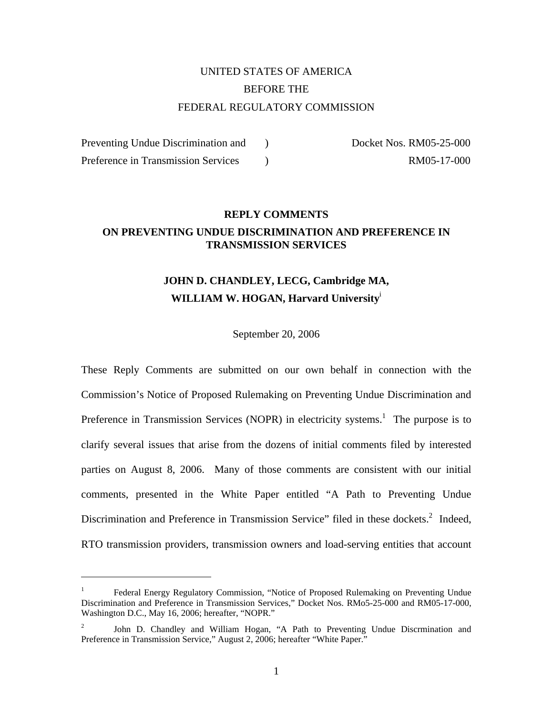# UNITED STATES OF AMERICA BEFORE THE FEDERAL REGULATORY COMMISSION

Preventing Undue Discrimination and ) Docket Nos. RM05-25-000 Preference in Transmission Services (and the contract and the RM05-17-000) RM05-17-000

1

### **REPLY COMMENTS ON PREVENTING UNDUE DISCRIMINATION AND PREFERENCE IN TRANSMISSION SERVICES**

## **JOHN D. CHANDLEY, LECG, Cambridge MA, WILLIAM W. HOGAN, Harvard University**<sup>i</sup>

#### September 20, 2006

These Reply Comments are submitted on our own behalf in connection with the Commission's Notice of Proposed Rulemaking on Preventing Undue Discrimination and Preference in Transmission Services (NOPR) in electricity systems.<sup>1</sup> The purpose is to clarify several issues that arise from the dozens of initial comments filed by interested parties on August 8, 2006. Many of those comments are consistent with our initial comments, presented in the White Paper entitled "A Path to Preventing Undue Discrimination and Preference in Transmission Service" filed in these dockets.<sup>2</sup> Indeed, RTO transmission providers, transmission owners and load-serving entities that account

<sup>1</sup> Federal Energy Regulatory Commission, "Notice of Proposed Rulemaking on Preventing Undue Discrimination and Preference in Transmission Services," Docket Nos. RMo5-25-000 and RM05-17-000, Washington D.C., May 16, 2006; hereafter, "NOPR."

<sup>2</sup> John D. Chandley and William Hogan, "A Path to Preventing Undue Discrmination and Preference in Transmission Service," August 2, 2006; hereafter "White Paper."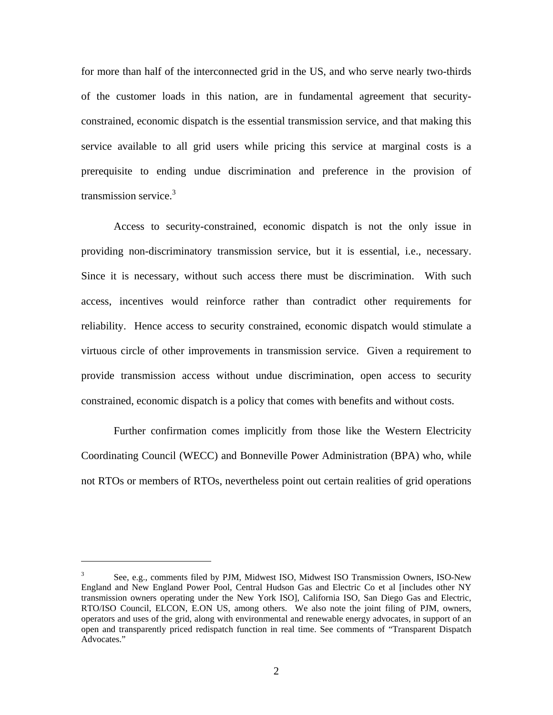for more than half of the interconnected grid in the US, and who serve nearly two-thirds of the customer loads in this nation, are in fundamental agreement that securityconstrained, economic dispatch is the essential transmission service, and that making this service available to all grid users while pricing this service at marginal costs is a prerequisite to ending undue discrimination and preference in the provision of transmission service.<sup>3</sup>

Access to security-constrained, economic dispatch is not the only issue in providing non-discriminatory transmission service, but it is essential, i.e., necessary. Since it is necessary, without such access there must be discrimination. With such access, incentives would reinforce rather than contradict other requirements for reliability. Hence access to security constrained, economic dispatch would stimulate a virtuous circle of other improvements in transmission service. Given a requirement to provide transmission access without undue discrimination, open access to security constrained, economic dispatch is a policy that comes with benefits and without costs.

Further confirmation comes implicitly from those like the Western Electricity Coordinating Council (WECC) and Bonneville Power Administration (BPA) who, while not RTOs or members of RTOs, nevertheless point out certain realities of grid operations

<sup>3</sup> See, e.g., comments filed by PJM, Midwest ISO, Midwest ISO Transmission Owners, ISO-New England and New England Power Pool, Central Hudson Gas and Electric Co et al [includes other NY transmission owners operating under the New York ISO], California ISO, San Diego Gas and Electric, RTO/ISO Council, ELCON, E.ON US, among others. We also note the joint filing of PJM, owners, operators and uses of the grid, along with environmental and renewable energy advocates, in support of an open and transparently priced redispatch function in real time. See comments of "Transparent Dispatch Advocates."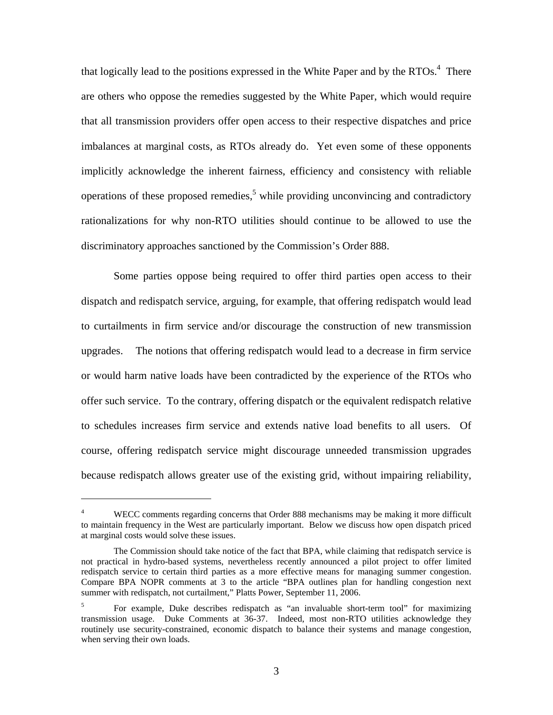that logically lead to the positions expressed in the White Paper and by the RTOs.<sup>4</sup> There are others who oppose the remedies suggested by the White Paper, which would require that all transmission providers offer open access to their respective dispatches and price imbalances at marginal costs, as RTOs already do. Yet even some of these opponents implicitly acknowledge the inherent fairness, efficiency and consistency with reliable operations of these proposed remedies,<sup>5</sup> while providing unconvincing and contradictory rationalizations for why non-RTO utilities should continue to be allowed to use the discriminatory approaches sanctioned by the Commission's Order 888.

Some parties oppose being required to offer third parties open access to their dispatch and redispatch service, arguing, for example, that offering redispatch would lead to curtailments in firm service and/or discourage the construction of new transmission upgrades. The notions that offering redispatch would lead to a decrease in firm service or would harm native loads have been contradicted by the experience of the RTOs who offer such service. To the contrary, offering dispatch or the equivalent redispatch relative to schedules increases firm service and extends native load benefits to all users. Of course, offering redispatch service might discourage unneeded transmission upgrades because redispatch allows greater use of the existing grid, without impairing reliability,

1

<sup>4</sup> WECC comments regarding concerns that Order 888 mechanisms may be making it more difficult to maintain frequency in the West are particularly important. Below we discuss how open dispatch priced at marginal costs would solve these issues.

The Commission should take notice of the fact that BPA, while claiming that redispatch service is not practical in hydro-based systems, nevertheless recently announced a pilot project to offer limited redispatch service to certain third parties as a more effective means for managing summer congestion. Compare BPA NOPR comments at 3 to the article "BPA outlines plan for handling congestion next summer with redispatch, not curtailment," Platts Power, September 11, 2006.

<sup>5</sup> For example, Duke describes redispatch as "an invaluable short-term tool" for maximizing transmission usage. Duke Comments at 36-37. Indeed, most non-RTO utilities acknowledge they routinely use security-constrained, economic dispatch to balance their systems and manage congestion, when serving their own loads.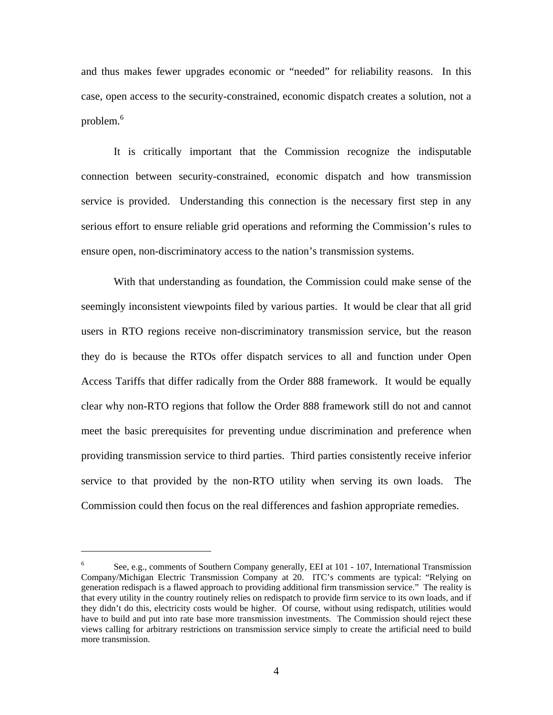and thus makes fewer upgrades economic or "needed" for reliability reasons. In this case, open access to the security-constrained, economic dispatch creates a solution, not a problem.<sup>6</sup>

It is critically important that the Commission recognize the indisputable connection between security-constrained, economic dispatch and how transmission service is provided. Understanding this connection is the necessary first step in any serious effort to ensure reliable grid operations and reforming the Commission's rules to ensure open, non-discriminatory access to the nation's transmission systems.

With that understanding as foundation, the Commission could make sense of the seemingly inconsistent viewpoints filed by various parties. It would be clear that all grid users in RTO regions receive non-discriminatory transmission service, but the reason they do is because the RTOs offer dispatch services to all and function under Open Access Tariffs that differ radically from the Order 888 framework. It would be equally clear why non-RTO regions that follow the Order 888 framework still do not and cannot meet the basic prerequisites for preventing undue discrimination and preference when providing transmission service to third parties. Third parties consistently receive inferior service to that provided by the non-RTO utility when serving its own loads. The Commission could then focus on the real differences and fashion appropriate remedies.

<sup>6</sup> See, e.g., comments of Southern Company generally, EEI at 101 - 107, International Transmission Company/Michigan Electric Transmission Company at 20. ITC's comments are typical: "Relying on generation redispach is a flawed approach to providing additional firm transmission service." The reality is that every utility in the country routinely relies on redispatch to provide firm service to its own loads, and if they didn't do this, electricity costs would be higher. Of course, without using redispatch, utilities would have to build and put into rate base more transmission investments. The Commission should reject these views calling for arbitrary restrictions on transmission service simply to create the artificial need to build more transmission.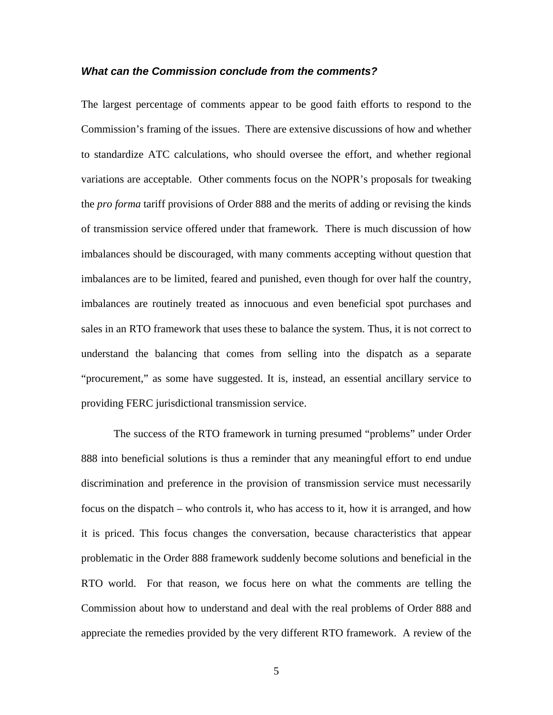#### *What can the Commission conclude from the comments?*

The largest percentage of comments appear to be good faith efforts to respond to the Commission's framing of the issues. There are extensive discussions of how and whether to standardize ATC calculations, who should oversee the effort, and whether regional variations are acceptable. Other comments focus on the NOPR's proposals for tweaking the *pro forma* tariff provisions of Order 888 and the merits of adding or revising the kinds of transmission service offered under that framework. There is much discussion of how imbalances should be discouraged, with many comments accepting without question that imbalances are to be limited, feared and punished, even though for over half the country, imbalances are routinely treated as innocuous and even beneficial spot purchases and sales in an RTO framework that uses these to balance the system. Thus, it is not correct to understand the balancing that comes from selling into the dispatch as a separate "procurement," as some have suggested. It is, instead, an essential ancillary service to providing FERC jurisdictional transmission service.

The success of the RTO framework in turning presumed "problems" under Order 888 into beneficial solutions is thus a reminder that any meaningful effort to end undue discrimination and preference in the provision of transmission service must necessarily focus on the dispatch – who controls it, who has access to it, how it is arranged, and how it is priced. This focus changes the conversation, because characteristics that appear problematic in the Order 888 framework suddenly become solutions and beneficial in the RTO world. For that reason, we focus here on what the comments are telling the Commission about how to understand and deal with the real problems of Order 888 and appreciate the remedies provided by the very different RTO framework. A review of the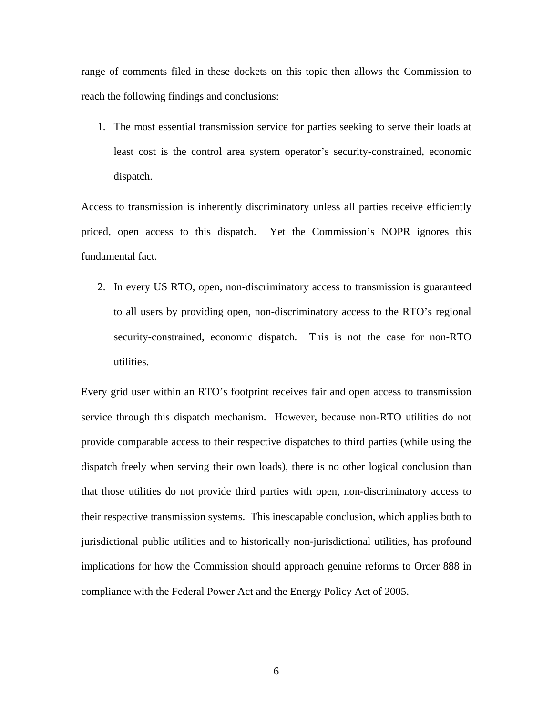range of comments filed in these dockets on this topic then allows the Commission to reach the following findings and conclusions:

1. The most essential transmission service for parties seeking to serve their loads at least cost is the control area system operator's security-constrained, economic dispatch.

Access to transmission is inherently discriminatory unless all parties receive efficiently priced, open access to this dispatch. Yet the Commission's NOPR ignores this fundamental fact.

2. In every US RTO, open, non-discriminatory access to transmission is guaranteed to all users by providing open, non-discriminatory access to the RTO's regional security-constrained, economic dispatch. This is not the case for non-RTO utilities.

Every grid user within an RTO's footprint receives fair and open access to transmission service through this dispatch mechanism. However, because non-RTO utilities do not provide comparable access to their respective dispatches to third parties (while using the dispatch freely when serving their own loads), there is no other logical conclusion than that those utilities do not provide third parties with open, non-discriminatory access to their respective transmission systems. This inescapable conclusion, which applies both to jurisdictional public utilities and to historically non-jurisdictional utilities, has profound implications for how the Commission should approach genuine reforms to Order 888 in compliance with the Federal Power Act and the Energy Policy Act of 2005.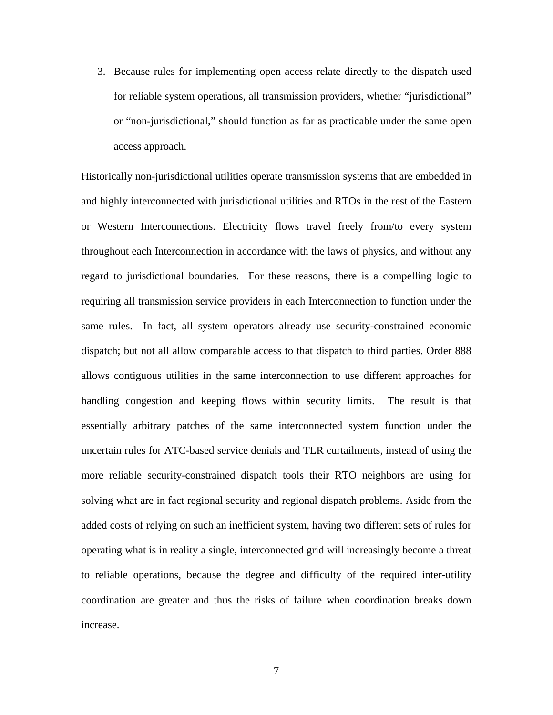3. Because rules for implementing open access relate directly to the dispatch used for reliable system operations, all transmission providers, whether "jurisdictional" or "non-jurisdictional," should function as far as practicable under the same open access approach.

Historically non-jurisdictional utilities operate transmission systems that are embedded in and highly interconnected with jurisdictional utilities and RTOs in the rest of the Eastern or Western Interconnections. Electricity flows travel freely from/to every system throughout each Interconnection in accordance with the laws of physics, and without any regard to jurisdictional boundaries. For these reasons, there is a compelling logic to requiring all transmission service providers in each Interconnection to function under the same rules. In fact, all system operators already use security-constrained economic dispatch; but not all allow comparable access to that dispatch to third parties. Order 888 allows contiguous utilities in the same interconnection to use different approaches for handling congestion and keeping flows within security limits. The result is that essentially arbitrary patches of the same interconnected system function under the uncertain rules for ATC-based service denials and TLR curtailments, instead of using the more reliable security-constrained dispatch tools their RTO neighbors are using for solving what are in fact regional security and regional dispatch problems. Aside from the added costs of relying on such an inefficient system, having two different sets of rules for operating what is in reality a single, interconnected grid will increasingly become a threat to reliable operations, because the degree and difficulty of the required inter-utility coordination are greater and thus the risks of failure when coordination breaks down increase.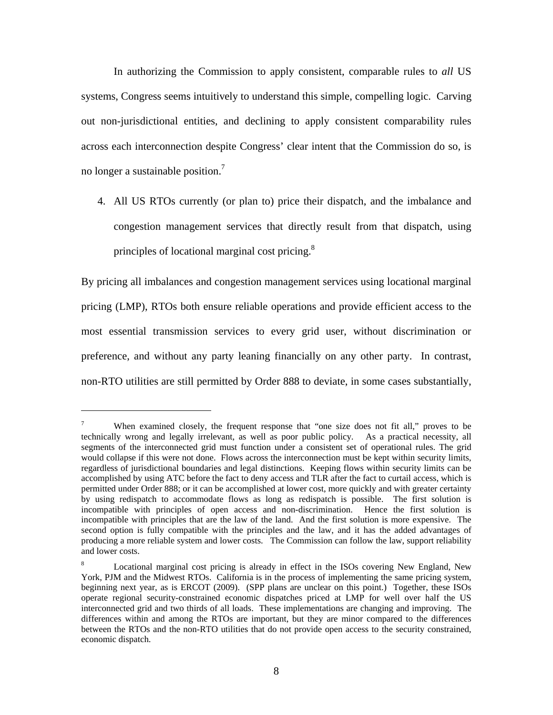In authorizing the Commission to apply consistent, comparable rules to *all* US systems, Congress seems intuitively to understand this simple, compelling logic. Carving out non-jurisdictional entities, and declining to apply consistent comparability rules across each interconnection despite Congress' clear intent that the Commission do so, is no longer a sustainable position.7

4. All US RTOs currently (or plan to) price their dispatch, and the imbalance and congestion management services that directly result from that dispatch, using principles of locational marginal cost pricing. $8$ 

By pricing all imbalances and congestion management services using locational marginal pricing (LMP), RTOs both ensure reliable operations and provide efficient access to the most essential transmission services to every grid user, without discrimination or preference, and without any party leaning financially on any other party. In contrast, non-RTO utilities are still permitted by Order 888 to deviate, in some cases substantially,

<sup>7</sup> When examined closely, the frequent response that "one size does not fit all," proves to be technically wrong and legally irrelevant, as well as poor public policy. As a practical necessity, all segments of the interconnected grid must function under a consistent set of operational rules. The grid would collapse if this were not done. Flows across the interconnection must be kept within security limits, regardless of jurisdictional boundaries and legal distinctions. Keeping flows within security limits can be accomplished by using ATC before the fact to deny access and TLR after the fact to curtail access, which is permitted under Order 888; or it can be accomplished at lower cost, more quickly and with greater certainty by using redispatch to accommodate flows as long as redispatch is possible. The first solution is incompatible with principles of open access and non-discrimination. Hence the first solution is incompatible with principles that are the law of the land. And the first solution is more expensive. The second option is fully compatible with the principles and the law, and it has the added advantages of producing a more reliable system and lower costs. The Commission can follow the law, support reliability and lower costs.

<sup>8</sup> Locational marginal cost pricing is already in effect in the ISOs covering New England, New York, PJM and the Midwest RTOs. California is in the process of implementing the same pricing system, beginning next year, as is ERCOT (2009). (SPP plans are unclear on this point.) Together, these ISOs operate regional security-constrained economic dispatches priced at LMP for well over half the US interconnected grid and two thirds of all loads. These implementations are changing and improving. The differences within and among the RTOs are important, but they are minor compared to the differences between the RTOs and the non-RTO utilities that do not provide open access to the security constrained, economic dispatch.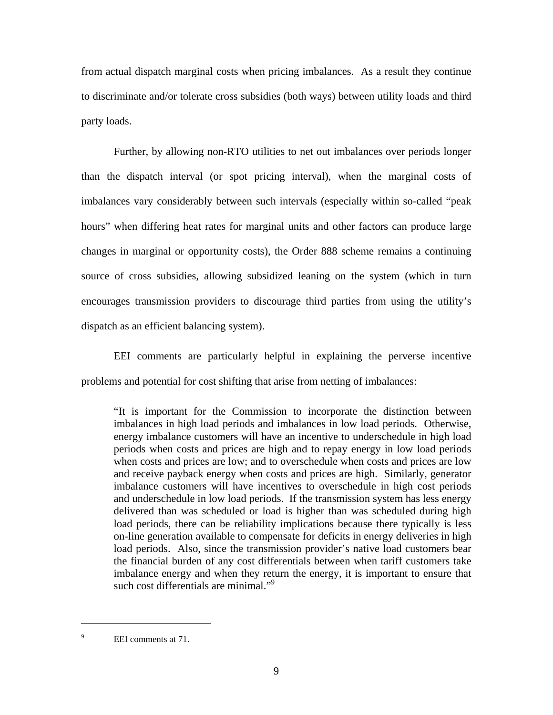from actual dispatch marginal costs when pricing imbalances. As a result they continue to discriminate and/or tolerate cross subsidies (both ways) between utility loads and third party loads.

Further, by allowing non-RTO utilities to net out imbalances over periods longer than the dispatch interval (or spot pricing interval), when the marginal costs of imbalances vary considerably between such intervals (especially within so-called "peak hours" when differing heat rates for marginal units and other factors can produce large changes in marginal or opportunity costs), the Order 888 scheme remains a continuing source of cross subsidies, allowing subsidized leaning on the system (which in turn encourages transmission providers to discourage third parties from using the utility's dispatch as an efficient balancing system).

EEI comments are particularly helpful in explaining the perverse incentive problems and potential for cost shifting that arise from netting of imbalances:

"It is important for the Commission to incorporate the distinction between imbalances in high load periods and imbalances in low load periods. Otherwise, energy imbalance customers will have an incentive to underschedule in high load periods when costs and prices are high and to repay energy in low load periods when costs and prices are low; and to overschedule when costs and prices are low and receive payback energy when costs and prices are high. Similarly, generator imbalance customers will have incentives to overschedule in high cost periods and underschedule in low load periods. If the transmission system has less energy delivered than was scheduled or load is higher than was scheduled during high load periods, there can be reliability implications because there typically is less on-line generation available to compensate for deficits in energy deliveries in high load periods. Also, since the transmission provider's native load customers bear the financial burden of any cost differentials between when tariff customers take imbalance energy and when they return the energy, it is important to ensure that such cost differentials are minimal."<sup>9</sup>

<sup>9</sup> EEI comments at 71.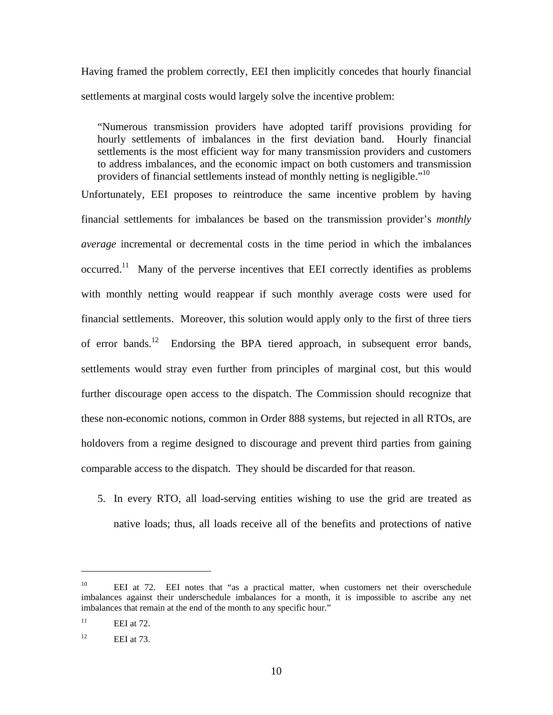Having framed the problem correctly, EEI then implicitly concedes that hourly financial settlements at marginal costs would largely solve the incentive problem:

"Numerous transmission providers have adopted tariff provisions providing for hourly settlements of imbalances in the first deviation band. Hourly financial settlements is the most efficient way for many transmission providers and customers to address imbalances, and the economic impact on both customers and transmission providers of financial settlements instead of monthly netting is negligible.<sup>"10</sup>

Unfortunately, EEI proposes to reintroduce the same incentive problem by having financial settlements for imbalances be based on the transmission provider's *monthly average* incremental or decremental costs in the time period in which the imbalances occurred.11 Many of the perverse incentives that EEI correctly identifies as problems with monthly netting would reappear if such monthly average costs were used for financial settlements. Moreover, this solution would apply only to the first of three tiers of error bands.<sup>12</sup> Endorsing the BPA tiered approach, in subsequent error bands, settlements would stray even further from principles of marginal cost, but this would further discourage open access to the dispatch. The Commission should recognize that these non-economic notions, common in Order 888 systems, but rejected in all RTOs, are holdovers from a regime designed to discourage and prevent third parties from gaining comparable access to the dispatch. They should be discarded for that reason.

5. In every RTO, all load-serving entities wishing to use the grid are treated as native loads; thus, all loads receive all of the benefits and protections of native

<sup>&</sup>lt;sup>10</sup> EEI at 72. EEI notes that "as a practical matter, when customers net their overschedule imbalances against their underschedule imbalances for a month, it is impossible to ascribe any net imbalances that remain at the end of the month to any specific hour."

 $11$  EEI at 72.

 $12$  EEI at 73.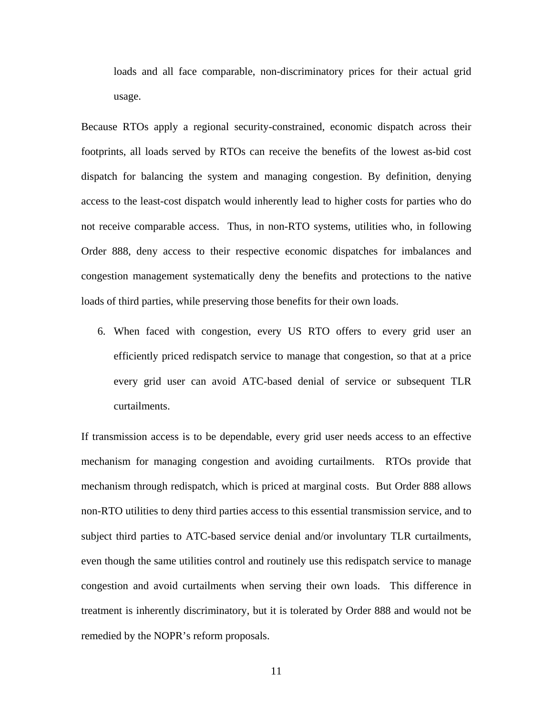loads and all face comparable, non-discriminatory prices for their actual grid usage.

Because RTOs apply a regional security-constrained, economic dispatch across their footprints, all loads served by RTOs can receive the benefits of the lowest as-bid cost dispatch for balancing the system and managing congestion. By definition, denying access to the least-cost dispatch would inherently lead to higher costs for parties who do not receive comparable access. Thus, in non-RTO systems, utilities who, in following Order 888, deny access to their respective economic dispatches for imbalances and congestion management systematically deny the benefits and protections to the native loads of third parties, while preserving those benefits for their own loads.

6. When faced with congestion, every US RTO offers to every grid user an efficiently priced redispatch service to manage that congestion, so that at a price every grid user can avoid ATC-based denial of service or subsequent TLR curtailments.

If transmission access is to be dependable, every grid user needs access to an effective mechanism for managing congestion and avoiding curtailments. RTOs provide that mechanism through redispatch, which is priced at marginal costs. But Order 888 allows non-RTO utilities to deny third parties access to this essential transmission service, and to subject third parties to ATC-based service denial and/or involuntary TLR curtailments, even though the same utilities control and routinely use this redispatch service to manage congestion and avoid curtailments when serving their own loads. This difference in treatment is inherently discriminatory, but it is tolerated by Order 888 and would not be remedied by the NOPR's reform proposals.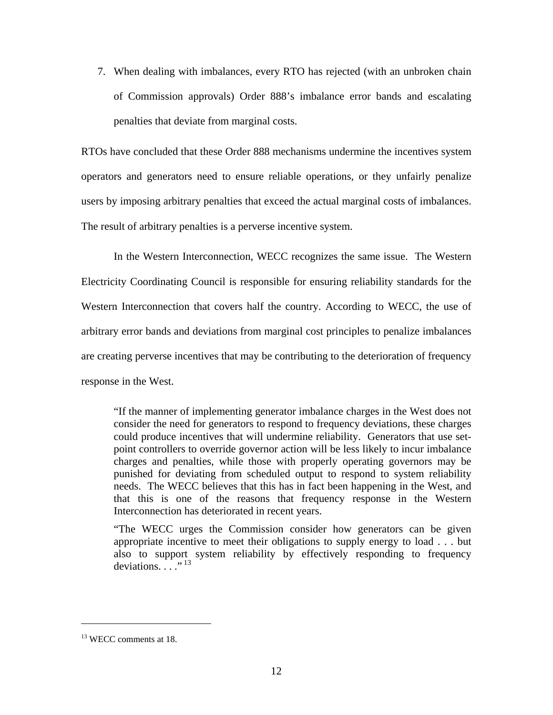7. When dealing with imbalances, every RTO has rejected (with an unbroken chain of Commission approvals) Order 888's imbalance error bands and escalating penalties that deviate from marginal costs.

RTOs have concluded that these Order 888 mechanisms undermine the incentives system operators and generators need to ensure reliable operations, or they unfairly penalize users by imposing arbitrary penalties that exceed the actual marginal costs of imbalances. The result of arbitrary penalties is a perverse incentive system.

In the Western Interconnection, WECC recognizes the same issue. The Western Electricity Coordinating Council is responsible for ensuring reliability standards for the Western Interconnection that covers half the country. According to WECC, the use of arbitrary error bands and deviations from marginal cost principles to penalize imbalances are creating perverse incentives that may be contributing to the deterioration of frequency response in the West.

"If the manner of implementing generator imbalance charges in the West does not consider the need for generators to respond to frequency deviations, these charges could produce incentives that will undermine reliability. Generators that use setpoint controllers to override governor action will be less likely to incur imbalance charges and penalties, while those with properly operating governors may be punished for deviating from scheduled output to respond to system reliability needs. The WECC believes that this has in fact been happening in the West, and that this is one of the reasons that frequency response in the Western Interconnection has deteriorated in recent years.

"The WECC urges the Commission consider how generators can be given appropriate incentive to meet their obligations to supply energy to load . . . but also to support system reliability by effectively responding to frequency deviations.  $\ldots$ <sup>13</sup>

<sup>&</sup>lt;sup>13</sup> WECC comments at 18.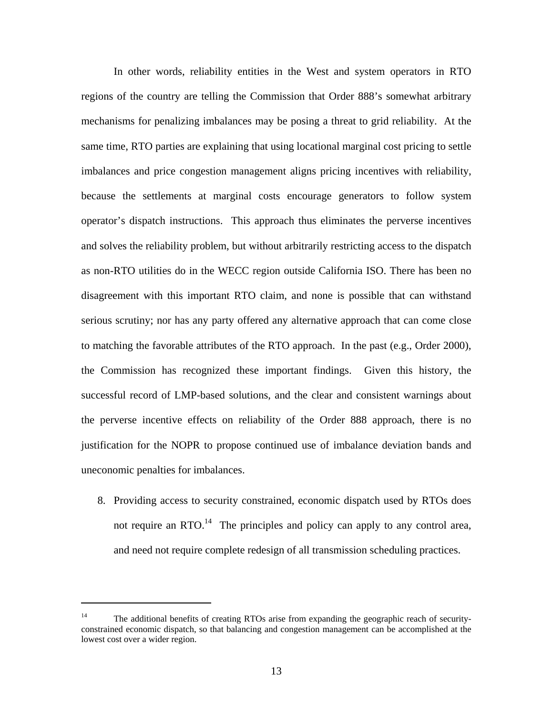In other words, reliability entities in the West and system operators in RTO regions of the country are telling the Commission that Order 888's somewhat arbitrary mechanisms for penalizing imbalances may be posing a threat to grid reliability. At the same time, RTO parties are explaining that using locational marginal cost pricing to settle imbalances and price congestion management aligns pricing incentives with reliability, because the settlements at marginal costs encourage generators to follow system operator's dispatch instructions. This approach thus eliminates the perverse incentives and solves the reliability problem, but without arbitrarily restricting access to the dispatch as non-RTO utilities do in the WECC region outside California ISO. There has been no disagreement with this important RTO claim, and none is possible that can withstand serious scrutiny; nor has any party offered any alternative approach that can come close to matching the favorable attributes of the RTO approach. In the past (e.g., Order 2000), the Commission has recognized these important findings. Given this history, the successful record of LMP-based solutions, and the clear and consistent warnings about the perverse incentive effects on reliability of the Order 888 approach, there is no justification for the NOPR to propose continued use of imbalance deviation bands and uneconomic penalties for imbalances.

8. Providing access to security constrained, economic dispatch used by RTOs does not require an RTO. $^{14}$  The principles and policy can apply to any control area, and need not require complete redesign of all transmission scheduling practices.

1

<sup>&</sup>lt;sup>14</sup> The additional benefits of creating RTOs arise from expanding the geographic reach of securityconstrained economic dispatch, so that balancing and congestion management can be accomplished at the lowest cost over a wider region.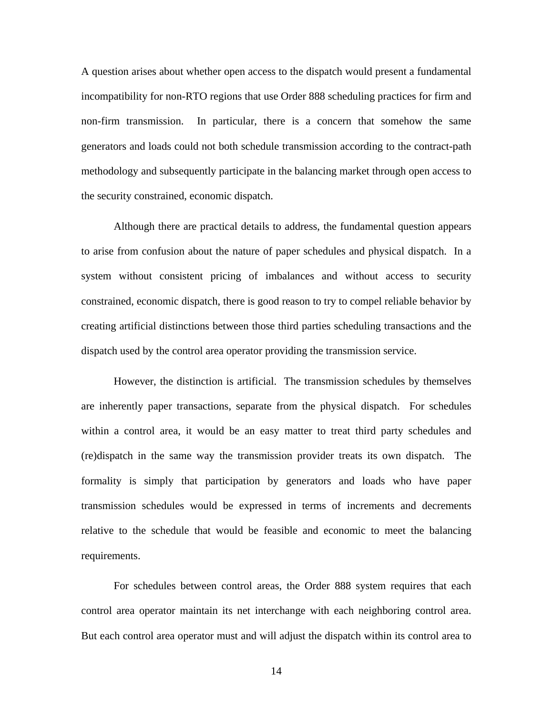A question arises about whether open access to the dispatch would present a fundamental incompatibility for non-RTO regions that use Order 888 scheduling practices for firm and non-firm transmission. In particular, there is a concern that somehow the same generators and loads could not both schedule transmission according to the contract-path methodology and subsequently participate in the balancing market through open access to the security constrained, economic dispatch.

Although there are practical details to address, the fundamental question appears to arise from confusion about the nature of paper schedules and physical dispatch. In a system without consistent pricing of imbalances and without access to security constrained, economic dispatch, there is good reason to try to compel reliable behavior by creating artificial distinctions between those third parties scheduling transactions and the dispatch used by the control area operator providing the transmission service.

However, the distinction is artificial. The transmission schedules by themselves are inherently paper transactions, separate from the physical dispatch. For schedules within a control area, it would be an easy matter to treat third party schedules and (re)dispatch in the same way the transmission provider treats its own dispatch. The formality is simply that participation by generators and loads who have paper transmission schedules would be expressed in terms of increments and decrements relative to the schedule that would be feasible and economic to meet the balancing requirements.

For schedules between control areas, the Order 888 system requires that each control area operator maintain its net interchange with each neighboring control area. But each control area operator must and will adjust the dispatch within its control area to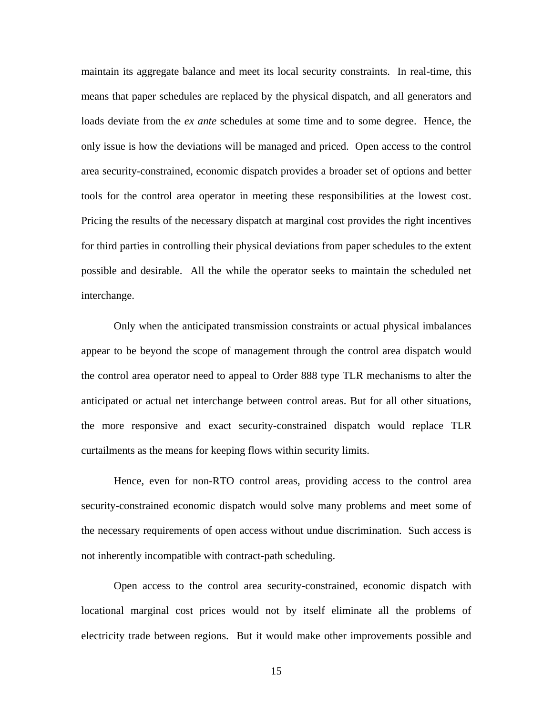maintain its aggregate balance and meet its local security constraints. In real-time, this means that paper schedules are replaced by the physical dispatch, and all generators and loads deviate from the *ex ante* schedules at some time and to some degree. Hence, the only issue is how the deviations will be managed and priced. Open access to the control area security-constrained, economic dispatch provides a broader set of options and better tools for the control area operator in meeting these responsibilities at the lowest cost. Pricing the results of the necessary dispatch at marginal cost provides the right incentives for third parties in controlling their physical deviations from paper schedules to the extent possible and desirable. All the while the operator seeks to maintain the scheduled net interchange.

Only when the anticipated transmission constraints or actual physical imbalances appear to be beyond the scope of management through the control area dispatch would the control area operator need to appeal to Order 888 type TLR mechanisms to alter the anticipated or actual net interchange between control areas. But for all other situations, the more responsive and exact security-constrained dispatch would replace TLR curtailments as the means for keeping flows within security limits.

Hence, even for non-RTO control areas, providing access to the control area security-constrained economic dispatch would solve many problems and meet some of the necessary requirements of open access without undue discrimination. Such access is not inherently incompatible with contract-path scheduling.

Open access to the control area security-constrained, economic dispatch with locational marginal cost prices would not by itself eliminate all the problems of electricity trade between regions. But it would make other improvements possible and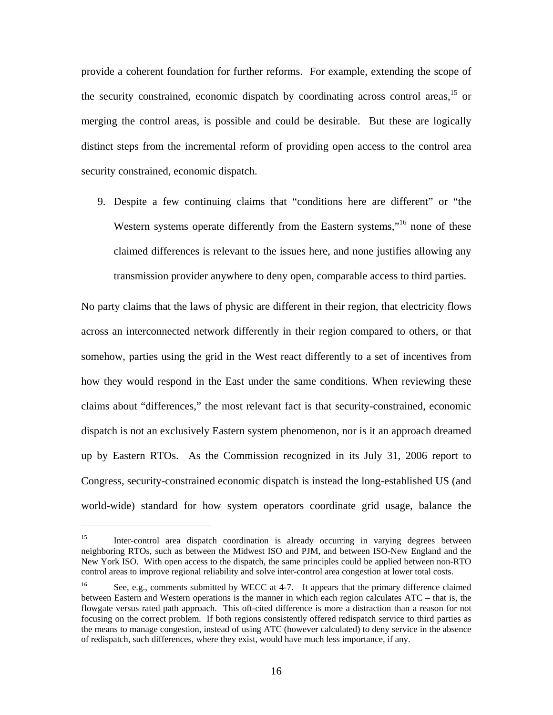provide a coherent foundation for further reforms. For example, extending the scope of the security constrained, economic dispatch by coordinating across control areas,<sup>15</sup> or merging the control areas, is possible and could be desirable. But these are logically distinct steps from the incremental reform of providing open access to the control area security constrained, economic dispatch.

9. Despite a few continuing claims that "conditions here are different" or "the Western systems operate differently from the Eastern systems,"<sup>16</sup> none of these claimed differences is relevant to the issues here, and none justifies allowing any transmission provider anywhere to deny open, comparable access to third parties.

No party claims that the laws of physic are different in their region, that electricity flows across an interconnected network differently in their region compared to others, or that somehow, parties using the grid in the West react differently to a set of incentives from how they would respond in the East under the same conditions. When reviewing these claims about "differences," the most relevant fact is that security-constrained, economic dispatch is not an exclusively Eastern system phenomenon, nor is it an approach dreamed up by Eastern RTOs. As the Commission recognized in its July 31, 2006 report to Congress, security-constrained economic dispatch is instead the long-established US (and world-wide) standard for how system operators coordinate grid usage, balance the

<sup>&</sup>lt;sup>15</sup> Inter-control area dispatch coordination is already occurring in varying degrees between neighboring RTOs, such as between the Midwest ISO and PJM, and between ISO-New England and the New York ISO. With open access to the dispatch, the same principles could be applied between non-RTO control areas to improve regional reliability and solve inter-control area congestion at lower total costs.

<sup>&</sup>lt;sup>16</sup> See, e.g., comments submitted by WECC at 4-7. It appears that the primary difference claimed between Eastern and Western operations is the manner in which each region calculates ATC – that is, the flowgate versus rated path approach. This oft-cited difference is more a distraction than a reason for not focusing on the correct problem. If both regions consistently offered redispatch service to third parties as the means to manage congestion, instead of using ATC (however calculated) to deny service in the absence of redispatch, such differences, where they exist, would have much less importance, if any.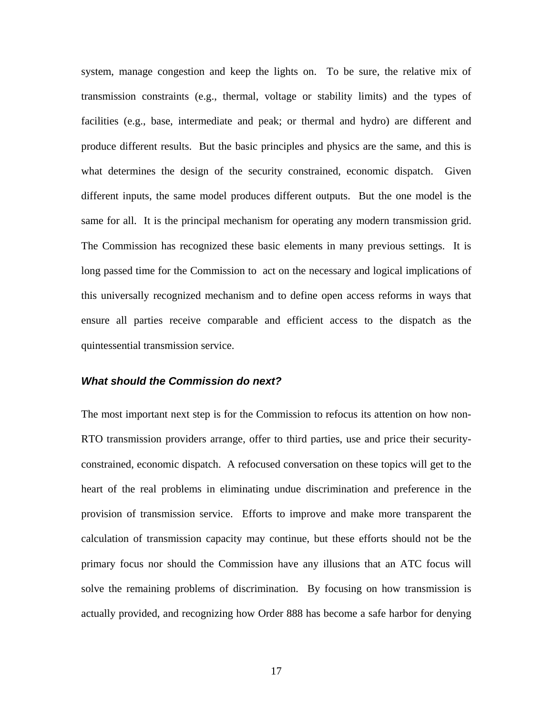system, manage congestion and keep the lights on. To be sure, the relative mix of transmission constraints (e.g., thermal, voltage or stability limits) and the types of facilities (e.g., base, intermediate and peak; or thermal and hydro) are different and produce different results. But the basic principles and physics are the same, and this is what determines the design of the security constrained, economic dispatch. Given different inputs, the same model produces different outputs. But the one model is the same for all. It is the principal mechanism for operating any modern transmission grid. The Commission has recognized these basic elements in many previous settings. It is long passed time for the Commission to act on the necessary and logical implications of this universally recognized mechanism and to define open access reforms in ways that ensure all parties receive comparable and efficient access to the dispatch as the quintessential transmission service.

#### *What should the Commission do next?*

The most important next step is for the Commission to refocus its attention on how non-RTO transmission providers arrange, offer to third parties, use and price their securityconstrained, economic dispatch. A refocused conversation on these topics will get to the heart of the real problems in eliminating undue discrimination and preference in the provision of transmission service. Efforts to improve and make more transparent the calculation of transmission capacity may continue, but these efforts should not be the primary focus nor should the Commission have any illusions that an ATC focus will solve the remaining problems of discrimination. By focusing on how transmission is actually provided, and recognizing how Order 888 has become a safe harbor for denying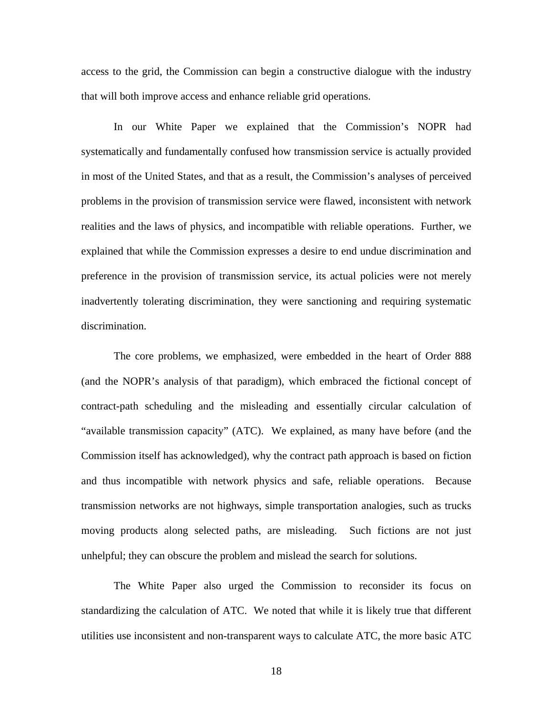access to the grid, the Commission can begin a constructive dialogue with the industry that will both improve access and enhance reliable grid operations.

In our White Paper we explained that the Commission's NOPR had systematically and fundamentally confused how transmission service is actually provided in most of the United States, and that as a result, the Commission's analyses of perceived problems in the provision of transmission service were flawed, inconsistent with network realities and the laws of physics, and incompatible with reliable operations. Further, we explained that while the Commission expresses a desire to end undue discrimination and preference in the provision of transmission service, its actual policies were not merely inadvertently tolerating discrimination, they were sanctioning and requiring systematic discrimination.

The core problems, we emphasized, were embedded in the heart of Order 888 (and the NOPR's analysis of that paradigm), which embraced the fictional concept of contract-path scheduling and the misleading and essentially circular calculation of "available transmission capacity" (ATC). We explained, as many have before (and the Commission itself has acknowledged), why the contract path approach is based on fiction and thus incompatible with network physics and safe, reliable operations. Because transmission networks are not highways, simple transportation analogies, such as trucks moving products along selected paths, are misleading. Such fictions are not just unhelpful; they can obscure the problem and mislead the search for solutions.

The White Paper also urged the Commission to reconsider its focus on standardizing the calculation of ATC. We noted that while it is likely true that different utilities use inconsistent and non-transparent ways to calculate ATC, the more basic ATC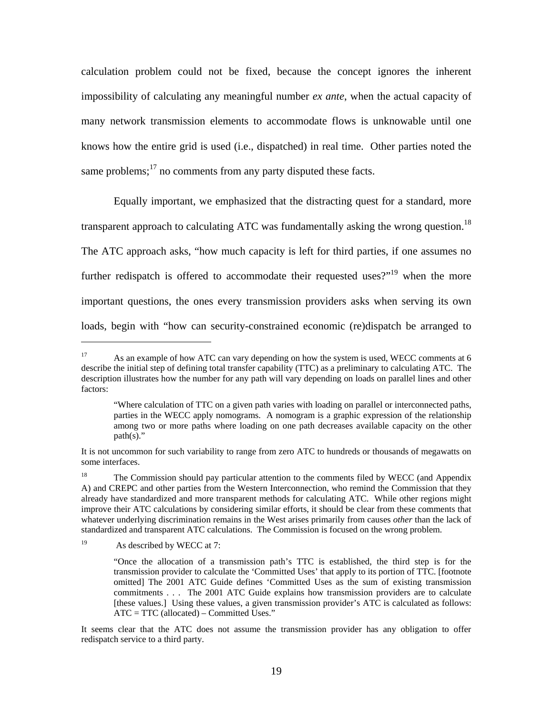calculation problem could not be fixed, because the concept ignores the inherent impossibility of calculating any meaningful number *ex ante*, when the actual capacity of many network transmission elements to accommodate flows is unknowable until one knows how the entire grid is used (i.e., dispatched) in real time. Other parties noted the same problems; $17$  no comments from any party disputed these facts.

Equally important, we emphasized that the distracting quest for a standard, more transparent approach to calculating ATC was fundamentally asking the wrong question.<sup>18</sup> The ATC approach asks, "how much capacity is left for third parties, if one assumes no further redispatch is offered to accommodate their requested uses?"<sup>19</sup> when the more important questions, the ones every transmission providers asks when serving its own loads, begin with "how can security-constrained economic (re)dispatch be arranged to

<sup>19</sup> As described by WECC at 7:

<sup>&</sup>lt;sup>17</sup> As an example of how ATC can vary depending on how the system is used, WECC comments at 6 describe the initial step of defining total transfer capability (TTC) as a preliminary to calculating ATC. The description illustrates how the number for any path will vary depending on loads on parallel lines and other factors:

<sup>&</sup>quot;Where calculation of TTC on a given path varies with loading on parallel or interconnected paths, parties in the WECC apply nomograms. A nomogram is a graphic expression of the relationship among two or more paths where loading on one path decreases available capacity on the other  $path(s)$ ."

It is not uncommon for such variability to range from zero ATC to hundreds or thousands of megawatts on some interfaces.

<sup>&</sup>lt;sup>18</sup> The Commission should pay particular attention to the comments filed by WECC (and Appendix A) and CREPC and other parties from the Western Interconnection, who remind the Commission that they already have standardized and more transparent methods for calculating ATC. While other regions might improve their ATC calculations by considering similar efforts, it should be clear from these comments that whatever underlying discrimination remains in the West arises primarily from causes *other* than the lack of standardized and transparent ATC calculations. The Commission is focused on the wrong problem.

<sup>&</sup>quot;Once the allocation of a transmission path's TTC is established, the third step is for the transmission provider to calculate the 'Committed Uses' that apply to its portion of TTC. [footnote omitted] The 2001 ATC Guide defines 'Committed Uses as the sum of existing transmission commitments . . . The 2001 ATC Guide explains how transmission providers are to calculate [these values.] Using these values, a given transmission provider's ATC is calculated as follows: ATC = TTC (allocated) – Committed Uses."

It seems clear that the ATC does not assume the transmission provider has any obligation to offer redispatch service to a third party.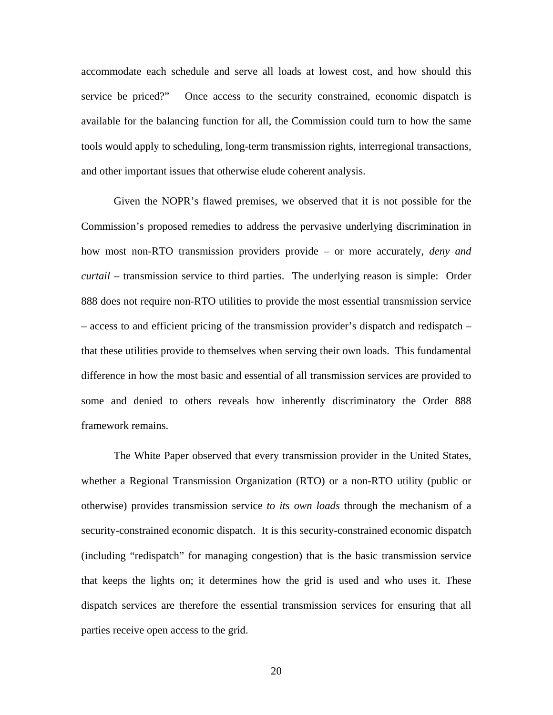accommodate each schedule and serve all loads at lowest cost, and how should this service be priced?" Once access to the security constrained, economic dispatch is available for the balancing function for all, the Commission could turn to how the same tools would apply to scheduling, long-term transmission rights, interregional transactions, and other important issues that otherwise elude coherent analysis.

Given the NOPR's flawed premises, we observed that it is not possible for the Commission's proposed remedies to address the pervasive underlying discrimination in how most non-RTO transmission providers provide – or more accurately, *deny and curtail* – transmission service to third parties. The underlying reason is simple: Order 888 does not require non-RTO utilities to provide the most essential transmission service – access to and efficient pricing of the transmission provider's dispatch and redispatch – that these utilities provide to themselves when serving their own loads. This fundamental difference in how the most basic and essential of all transmission services are provided to some and denied to others reveals how inherently discriminatory the Order 888 framework remains.

The White Paper observed that every transmission provider in the United States, whether a Regional Transmission Organization (RTO) or a non-RTO utility (public or otherwise) provides transmission service *to its own loads* through the mechanism of a security-constrained economic dispatch. It is this security-constrained economic dispatch (including "redispatch" for managing congestion) that is the basic transmission service that keeps the lights on; it determines how the grid is used and who uses it. These dispatch services are therefore the essential transmission services for ensuring that all parties receive open access to the grid.